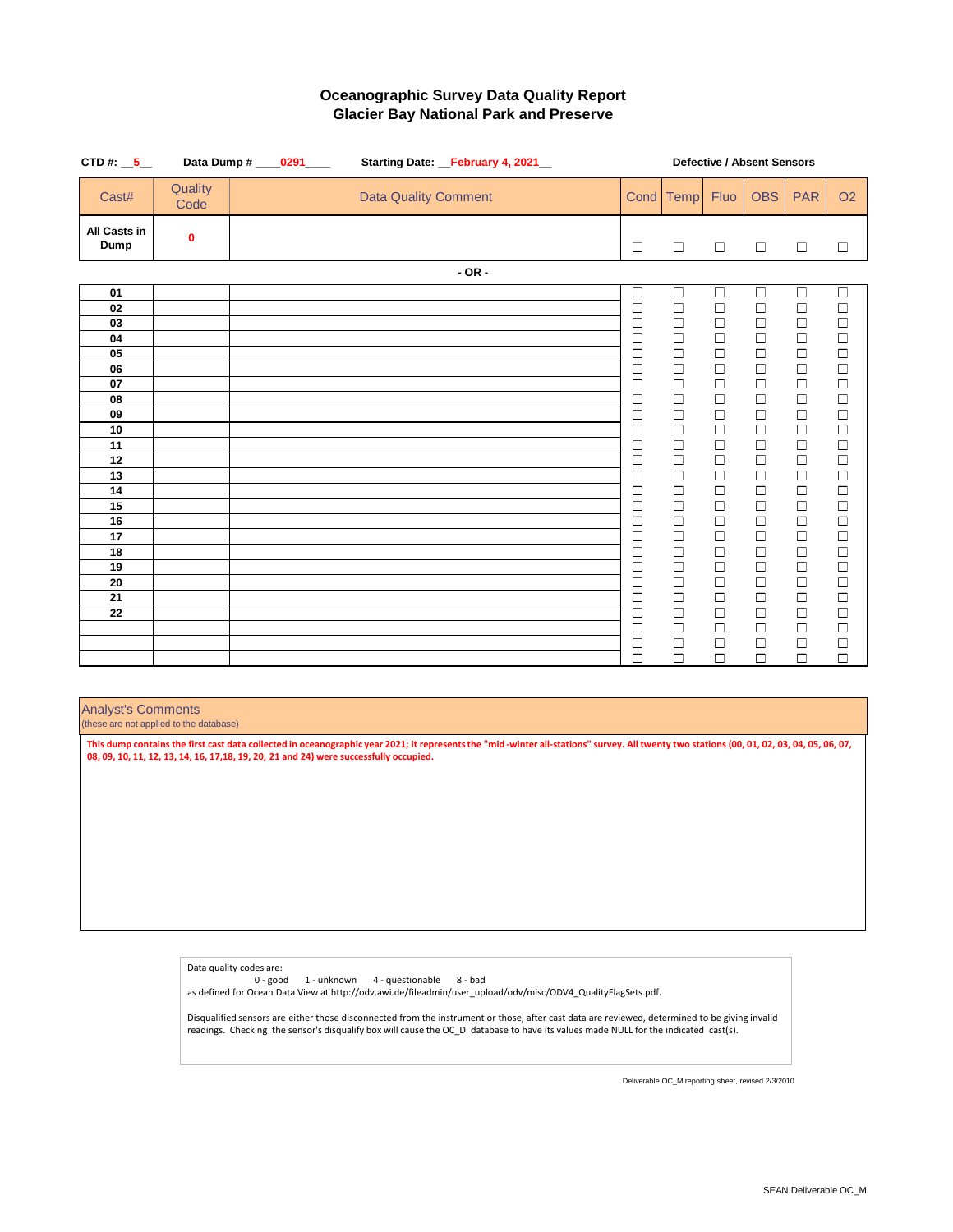| CTD#: $5 -$          |                 | Data Dump # ____0291____<br>Starting Date: February 4, 2021 |  |  |  |                             | <b>Defective / Absent Sensors</b> |  |  |             |                  |                  |                  |                  |                  |
|----------------------|-----------------|-------------------------------------------------------------|--|--|--|-----------------------------|-----------------------------------|--|--|-------------|------------------|------------------|------------------|------------------|------------------|
| Cast#                | Quality<br>Code |                                                             |  |  |  | <b>Data Quality Comment</b> |                                   |  |  | Cond        | Temp             | Fluo             | <b>OBS</b>       | <b>PAR</b>       | O <sub>2</sub>   |
| All Casts in<br>Dump | $\mathbf{0}$    |                                                             |  |  |  |                             |                                   |  |  | $\Box$      | $\Box$           | $\Box$           | $\Box$           | $\Box$           | $\Box$           |
|                      |                 |                                                             |  |  |  |                             | $-OR -$                           |  |  |             |                  |                  |                  |                  |                  |
| 01                   |                 |                                                             |  |  |  |                             |                                   |  |  | $\Box$      | $\Box$           | $\Box$           | $\Box$           | $\Box$           | $\Box$           |
| 02                   |                 |                                                             |  |  |  |                             |                                   |  |  | $\Box$      | $\Box$           | $\Box$           | $\Box$           | $\Box$           | $\Box$           |
| 03                   |                 |                                                             |  |  |  |                             |                                   |  |  | $\Box$      | $\Box$           | $\Box$           | $\Box$           | $\Box$           | $\Box$           |
| 04                   |                 |                                                             |  |  |  |                             |                                   |  |  | □           | $\Box$           | $\Box$           | $\Box$           | $\Box$           | $\Box$           |
| 05                   |                 |                                                             |  |  |  |                             |                                   |  |  | □<br>$\Box$ | $\Box$<br>$\Box$ | $\Box$<br>$\Box$ | $\Box$<br>$\Box$ | $\Box$<br>$\Box$ | $\Box$<br>$\Box$ |
| 06<br>07             |                 |                                                             |  |  |  |                             |                                   |  |  | $\Box$      | $\Box$           | $\Box$           | $\Box$           | $\Box$           | $\Box$           |
| 08                   |                 |                                                             |  |  |  |                             |                                   |  |  | □           | $\Box$           | $\Box$           | $\Box$           | $\Box$           | $\Box$           |
| 09                   |                 |                                                             |  |  |  |                             |                                   |  |  | $\Box$      | $\Box$           | $\Box$           | $\Box$           | $\Box$           | $\Box$           |
| 10                   |                 |                                                             |  |  |  |                             |                                   |  |  | □           | $\Box$           | $\Box$           | $\Box$           | $\Box$           | $\Box$           |
| 11                   |                 |                                                             |  |  |  |                             |                                   |  |  | $\Box$      | $\Box$           | $\Box$           | $\Box$           | $\Box$           | $\Box$           |
| 12                   |                 |                                                             |  |  |  |                             |                                   |  |  | □           | $\Box$           | $\Box$           | $\Box$           | $\Box$           | $\Box$           |
| 13                   |                 |                                                             |  |  |  |                             |                                   |  |  | $\Box$      | $\Box$           | $\Box$           | $\Box$           | $\Box$           | $\Box$           |
| 14                   |                 |                                                             |  |  |  |                             |                                   |  |  | □           | $\Box$           | $\Box$           | $\Box$           | $\Box$           | $\Box$           |
| 15                   |                 |                                                             |  |  |  |                             |                                   |  |  | □           | $\Box$           | $\Box$           | $\Box$           | $\Box$           | $\Box$           |
| 16                   |                 |                                                             |  |  |  |                             |                                   |  |  | $\Box$      | $\Box$           | $\Box$           | $\Box$           | $\Box$           | $\Box$           |
| 17                   |                 |                                                             |  |  |  |                             |                                   |  |  | $\Box$      | $\Box$           | $\Box$           | $\Box$           | $\Box$           | $\Box$           |
| 18<br>19             |                 |                                                             |  |  |  |                             |                                   |  |  | $\Box$      | $\Box$           | $\Box$<br>$\Box$ | $\Box$           | $\Box$<br>$\Box$ | $\Box$<br>$\Box$ |
| 20                   |                 |                                                             |  |  |  |                             |                                   |  |  | □<br>$\Box$ | $\Box$<br>$\Box$ | $\Box$           | $\Box$<br>$\Box$ | $\Box$           | $\Box$           |
| 21                   |                 |                                                             |  |  |  |                             |                                   |  |  | □           | $\Box$           | $\Box$           | $\Box$           | $\Box$           | $\Box$           |
| 22                   |                 |                                                             |  |  |  |                             |                                   |  |  | $\Box$      | $\Box$           | $\Box$           | $\Box$           | $\Box$           | $\Box$           |
|                      |                 |                                                             |  |  |  |                             |                                   |  |  | □           | $\Box$           | $\Box$           | $\Box$           | $\Box$           | $\Box$           |
|                      |                 |                                                             |  |  |  |                             |                                   |  |  | $\Box$      | $\Box$           | $\Box$           | $\Box$           | $\Box$           | $\Box$           |
|                      |                 |                                                             |  |  |  |                             |                                   |  |  | $\Box$      | $\Box$           | $\Box$           | $\Box$           | $\Box$           | $\Box$           |

#### Analyst's Comments (these are not applied to the database)

**This dump contains the first cast data collected in oceanographic year 2021; it represents the "mid -winter all-stations" survey. All twenty two stations (00, 01, 02, 03, 04, 05, 06, 07, 08, 09, 10, 11, 12, 13, 14, 16, 17,18, 19, 20, 21 and 24) were successfully occupied.**

Data quality codes are:

0 - good 1 - unknown 4 - questionable 8 - bad as defined for Ocean Data View at http://odv.awi.de/fileadmin/user\_upload/odv/misc/ODV4\_QualityFlagSets.pdf.

Disqualified sensors are either those disconnected from the instrument or those, after cast data are reviewed, determined to be giving invalid readings. Checking the sensor's disqualify box will cause the OC\_D database to have its values made NULL for the indicated cast(s).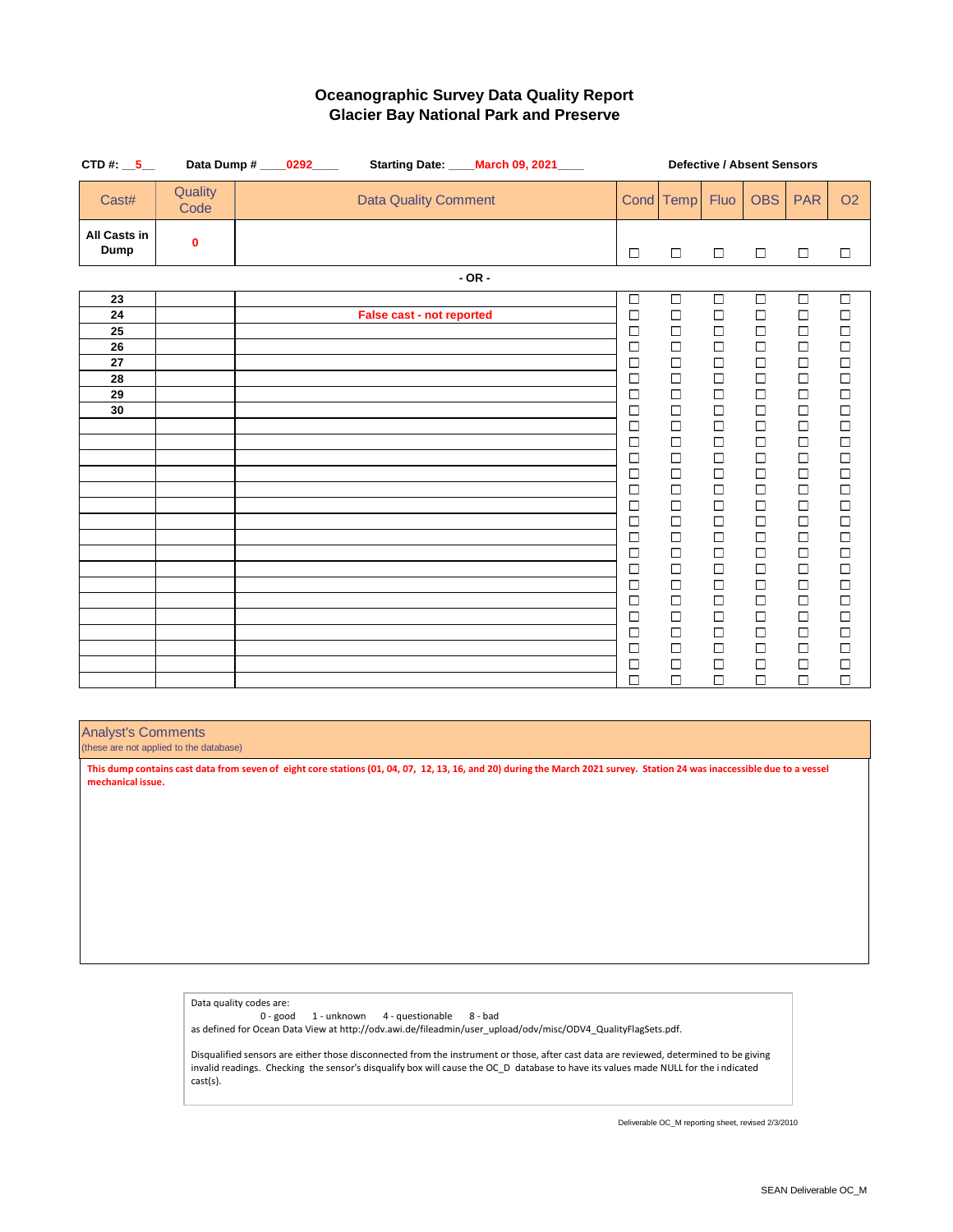| CTD#: $-5$                  |                 | Data Dump # _____0292_____ |                             | Starting Date: ____March 09, 2021____ |                   |                  |                      | <b>Defective / Absent Sensors</b>                            |                                                   |                                                   |  |  |  |  |  |
|-----------------------------|-----------------|----------------------------|-----------------------------|---------------------------------------|-------------------|------------------|----------------------|--------------------------------------------------------------|---------------------------------------------------|---------------------------------------------------|--|--|--|--|--|
| Cast#                       | Quality<br>Code |                            | <b>Data Quality Comment</b> |                                       |                   | Cond Temp        | Fluo                 | <b>OBS</b>                                                   | <b>PAR</b>                                        | O2                                                |  |  |  |  |  |
| <b>All Casts in</b><br>Dump | $\mathbf 0$     |                            |                             |                                       | $\Box$            | $\Box$           | $\Box$               | $\Box$                                                       | $\Box$                                            | $\Box$                                            |  |  |  |  |  |
|                             |                 |                            |                             | $-OR -$                               |                   |                  |                      |                                                              |                                                   |                                                   |  |  |  |  |  |
| 23                          |                 |                            |                             |                                       | $\overline{\Box}$ | $\Box$           | $\overline{\square}$ | $\overline{\square}$                                         | $\Box$                                            | $\Box$                                            |  |  |  |  |  |
| 24                          |                 |                            | False cast - not reported   |                                       | $\Box$            | 口                | $\Box$               | $\begin{array}{c} \square \\ \square \end{array}$            | $\begin{array}{c} \square \\ \square \end{array}$ | $\begin{array}{c} \square \\ \square \end{array}$ |  |  |  |  |  |
| 25<br>26                    |                 |                            |                             |                                       | $\Box$<br>$\Box$  | $\Box$           | $\Box$<br>$\Box$     | $\Box$                                                       | $\Box$                                            | $\Box$                                            |  |  |  |  |  |
| 27                          |                 |                            |                             |                                       | $\Box$            | $\Box$<br>$\Box$ | $\Box$               |                                                              |                                                   |                                                   |  |  |  |  |  |
| 28                          |                 |                            |                             |                                       | □                 | $\Box$           | $\Box$               | $\begin{array}{c}\n\Box \\ \Box\n\end{array}$                | $\begin{array}{c} \square \\ \square \end{array}$ | 0000                                              |  |  |  |  |  |
| 29                          |                 |                            |                             |                                       | $\Box$            | $\Box$           | $\Box$               | $\Box$                                                       |                                                   |                                                   |  |  |  |  |  |
| 30                          |                 |                            |                             |                                       | $\Box$            | $\Box$           | $\Box$               | $\Box$                                                       |                                                   |                                                   |  |  |  |  |  |
|                             |                 |                            |                             |                                       | $\Box$<br>□       | $\Box$<br>$\Box$ | $\Box$<br>$\Box$     | $\Box$                                                       | $\begin{array}{c} \square \\ \square \end{array}$ | 0000                                              |  |  |  |  |  |
|                             |                 |                            |                             |                                       | $\Box$            | $\Box$           | $\Box$               | $\begin{array}{c} \square \\ \square \\ \square \end{array}$ |                                                   |                                                   |  |  |  |  |  |
|                             |                 |                            |                             |                                       | $\Box$            | $\Box$           | $\Box$               |                                                              |                                                   |                                                   |  |  |  |  |  |
|                             |                 |                            |                             |                                       | $\Box$            | $\Box$           | $\Box$               | $\Box$                                                       | $\Box$                                            |                                                   |  |  |  |  |  |
|                             |                 |                            |                             |                                       | □                 | $\Box$           | $\Box$               | $\Box$                                                       | $\begin{array}{c} \square \\ \square \end{array}$ |                                                   |  |  |  |  |  |
|                             |                 |                            |                             |                                       | $\Box$            | $\Box$<br>$\Box$ | $\Box$<br>$\Box$     | $\Box$<br>$\Box$                                             | $\overline{a}$                                    |                                                   |  |  |  |  |  |
|                             |                 |                            |                             |                                       | □<br>$\Box$       | $\Box$           | $\Box$               |                                                              |                                                   | 00000000                                          |  |  |  |  |  |
|                             |                 |                            |                             |                                       | □                 | $\Box$           | $\Box$               | $\begin{array}{c}\n\Box \\ \Box\n\end{array}$                | $\Box$                                            |                                                   |  |  |  |  |  |
|                             |                 |                            |                             |                                       | $\Box$            | $\Box$           | $\Box$               | $\begin{array}{c}\n\Box \\ \Box\n\end{array}$                | $\begin{array}{c}\n\Box \\ \Box\n\end{array}$     |                                                   |  |  |  |  |  |
|                             |                 |                            |                             |                                       | $\Box$            | $\Box$           | $\Box$               |                                                              |                                                   |                                                   |  |  |  |  |  |
|                             |                 |                            |                             |                                       | $\Box$            | $\Box$           | $\Box$               | $\Box$                                                       | $\Box$                                            | 0<br>0<br>0                                       |  |  |  |  |  |
|                             |                 |                            |                             |                                       | □<br>$\Box$       | $\Box$<br>$\Box$ | $\Box$<br>$\Box$     | $\Box$<br>$\Box$                                             | $\begin{array}{c} \square \\ \square \end{array}$ |                                                   |  |  |  |  |  |
|                             |                 |                            |                             |                                       | 口                 | $\Box$           | $\Box$               | $\Box$                                                       | $\Box$                                            | $\Box$                                            |  |  |  |  |  |
|                             |                 |                            |                             |                                       | $\Box$            | $\Box$           | $\Box$               | $\Box$                                                       | $\Box$                                            | $\Box$                                            |  |  |  |  |  |

# Analyst's Comments

(these are not applied to the database)

**This dump contains cast data from seven of eight core stations (01, 04, 07, 12, 13, 16, and 20) during the March 2021 survey. Station 24 was inaccessible due to a vessel mechanical issue.**

> Data quality codes are: 0 - good 1 - unknown 4 - questionable 8 - bad as defined for Ocean Data View at http://odv.awi.de/fileadmin/user\_upload/odv/misc/ODV4\_QualityFlagSets.pdf.

Disqualified sensors are either those disconnected from the instrument or those, after cast data are reviewed, determined to be giving invalid readings. Checking the sensor's disqualify box will cause the OC\_D database to have its values made NULL for the i ndicated cast(s).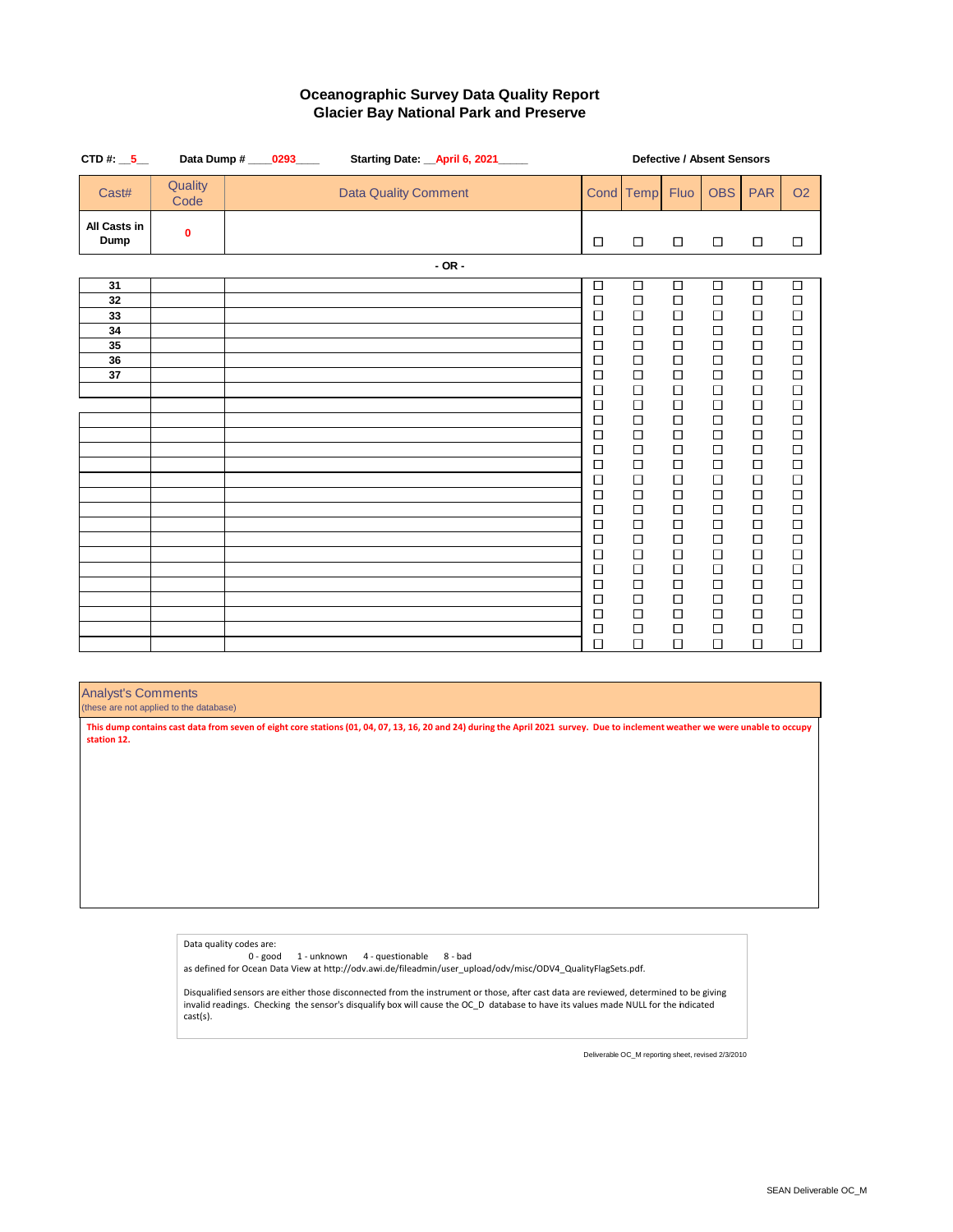| CTD#: $-5$           | Data Dump #     | 0293 | Starting Date: __ April 6, 2021____ |                  |                  |                  | Defective / Absent Sensors |                  |                  |
|----------------------|-----------------|------|-------------------------------------|------------------|------------------|------------------|----------------------------|------------------|------------------|
| Cast#                | Quality<br>Code |      | <b>Data Quality Comment</b>         |                  | Cond Temp        | Fluo             | <b>OBS</b>                 | <b>PAR</b>       | O <sub>2</sub>   |
| All Casts in<br>Dump | 0               |      |                                     | $\Box$           | $\Box$           | $\Box$           | $\Box$                     | $\Box$           | $\Box$           |
|                      |                 |      | $-$ OR $-$                          |                  |                  |                  |                            |                  |                  |
| 31                   |                 |      |                                     | $\Box$           | $\Box$           | $\Box$           | $\Box$                     | $\Box$           | $\Box$           |
| 32<br>33             |                 |      |                                     | $\Box$<br>$\Box$ | $\Box$<br>$\Box$ | $\Box$<br>$\Box$ | $\Box$<br>$\Box$           | $\Box$<br>$\Box$ | $\Box$<br>$\Box$ |
| 34                   |                 |      |                                     | $\Box$           | $\Box$           | $\Box$           | $\Box$                     | $\Box$           | $\Box$           |
| 35<br>36             |                 |      |                                     | $\Box$<br>$\Box$ | $\Box$<br>$\Box$ | $\Box$<br>$\Box$ | $\Box$<br>$\Box$           | $\Box$<br>$\Box$ | $\Box$<br>$\Box$ |
| 37                   |                 |      |                                     | $\Box$           | $\Box$           | $\Box$           | $\Box$                     | $\Box$           | $\Box$           |
|                      |                 |      |                                     | $\Box$<br>$\Box$ | $\Box$<br>$\Box$ | $\Box$<br>$\Box$ | $\Box$<br>$\Box$           | $\Box$<br>$\Box$ | $\Box$<br>$\Box$ |
|                      |                 |      |                                     | $\Box$           | $\Box$           | $\Box$           | $\Box$                     | $\Box$           | $\Box$           |
|                      |                 |      |                                     | $\Box$<br>口      | $\Box$<br>$\Box$ | $\Box$<br>$\Box$ | $\Box$<br>$\Box$           | $\Box$<br>$\Box$ | $\Box$<br>$\Box$ |
|                      |                 |      |                                     | $\Box$           | $\Box$           | $\Box$           | $\Box$                     | $\Box$           | $\Box$           |
|                      |                 |      |                                     | $\Box$<br>$\Box$ | $\Box$<br>$\Box$ | $\Box$<br>$\Box$ | $\Box$<br>$\Box$           | $\Box$<br>$\Box$ | $\Box$<br>$\Box$ |
|                      |                 |      |                                     | $\Box$           | $\Box$           | $\Box$           | $\Box$                     | $\Box$           | $\Box$           |
|                      |                 |      |                                     | $\Box$<br>$\Box$ | $\Box$<br>$\Box$ | $\Box$<br>$\Box$ | $\Box$<br>$\Box$           | $\Box$<br>$\Box$ | $\Box$<br>$\Box$ |
|                      |                 |      |                                     | $\Box$           | $\Box$           | $\Box$           | $\Box$                     | $\Box$           | $\Box$           |
|                      |                 |      |                                     | $\Box$<br>$\Box$ | $\Box$<br>$\Box$ | $\Box$<br>$\Box$ | $\Box$<br>$\Box$           | $\Box$<br>$\Box$ | $\Box$<br>$\Box$ |
|                      |                 |      |                                     | $\Box$           | $\Box$           | $\Box$           | $\Box$                     | $\Box$           | $\Box$           |
|                      |                 |      |                                     | $\Box$           | $\Box$           | $\Box$           | $\Box$                     | $\Box$           | $\Box$           |
|                      |                 |      |                                     | $\Box$<br>$\Box$ | $\Box$<br>$\Box$ | $\Box$<br>$\Box$ | $\Box$<br>$\Box$           | $\Box$<br>$\Box$ | $\Box$<br>$\Box$ |
|                      |                 |      |                                     |                  |                  |                  |                            |                  |                  |

#### Analyst's Comments

(these are not applied to the database)

**This dump contains cast data from seven of eight core stations (01, 04, 07, 13, 16, 20 and 24) during the April 2021 survey. Due to inclement weather we were unable to occupy station 12.**

> Data quality codes are: 0 - good 1 - unknown 4 - questionable 8 - bad as defined for Ocean Data View at http://odv.awi.de/fileadmin/user\_upload/odv/misc/ODV4\_QualityFlagSets.pdf. Disqualified sensors are either those disconnected from the instrument or those, after cast data are reviewed, determined to be giving invalid readings. Checking the sensor's disqualify box will cause the OC\_D database to have its values made NULL for the indicated cast(s).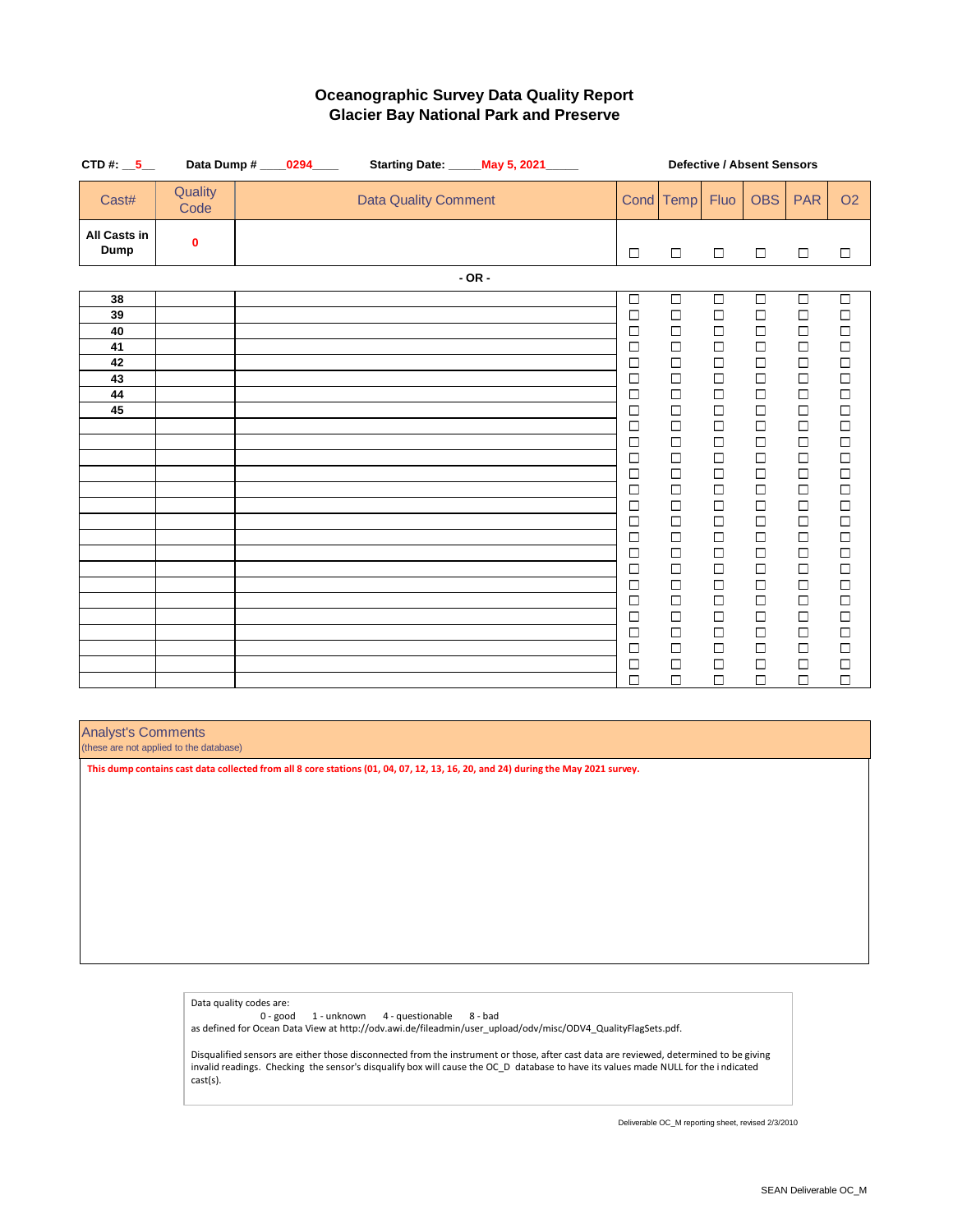| CTD#: $-5$                  |                 | Data Dump # ____0294____ |                             | Starting Date: _____ May 5, 2021_____ | <b>Defective / Absent Sensors</b> |                                                   |                  |                  |                                               |                                               |  |  |
|-----------------------------|-----------------|--------------------------|-----------------------------|---------------------------------------|-----------------------------------|---------------------------------------------------|------------------|------------------|-----------------------------------------------|-----------------------------------------------|--|--|
| Cast#                       | Quality<br>Code |                          | <b>Data Quality Comment</b> |                                       |                                   | Cond Temp                                         | Fluo             | <b>OBS</b>       | <b>PAR</b>                                    | O <sub>2</sub>                                |  |  |
| <b>All Casts in</b><br>Dump | $\mathbf 0$     |                          |                             |                                       | $\Box$                            | $\Box$                                            | $\Box$           | $\Box$           | $\Box$                                        | □                                             |  |  |
|                             |                 |                          |                             | $-OR -$                               |                                   |                                                   |                  |                  |                                               |                                               |  |  |
| 38                          |                 |                          |                             |                                       | $\Box$                            | $\Box$                                            | $\Box$           | $\Box$           | $\Box$                                        | $\Box$                                        |  |  |
| 39                          |                 |                          |                             |                                       | $\Box$                            | $\Box$                                            | $\Box$           | $\Box$           | □                                             | □                                             |  |  |
| 40                          |                 |                          |                             |                                       | $\Box$                            | $\Box$                                            | $\Box$           | $\Box$           | $\Box$                                        | $\Box$                                        |  |  |
| 41                          |                 |                          |                             |                                       | $\Box$                            | $\Box$                                            | $\Box$           | $\Box$           | $\Box$                                        | $\Box$                                        |  |  |
| 42                          |                 |                          |                             |                                       | $\Box$                            | $\Box$                                            | $\Box$           | $\Box$           | $\Box$                                        | $\Box$                                        |  |  |
| 43<br>44                    |                 |                          |                             |                                       | $\Box$                            | $\Box$                                            | $\Box$<br>$\Box$ | $\Box$<br>$\Box$ | $\Box$                                        | $\Box$                                        |  |  |
| 45                          |                 |                          |                             |                                       | $\Box$<br>$\Box$                  | $\begin{array}{c}\n\Box \\ \Box\n\end{array}$     | $\Box$           | $\Box$           | $\begin{array}{c}\n\Box \\ \Box\n\end{array}$ | $\begin{array}{c}\n\Box \\ \Box\n\end{array}$ |  |  |
|                             |                 |                          |                             |                                       | $\Box$                            |                                                   | $\Box$           | $\Box$           |                                               |                                               |  |  |
|                             |                 |                          |                             |                                       | $\Box$                            | $\begin{array}{c}\n\Box \\ \Box\n\end{array}$     | $\Box$           | $\Box$           | $\frac{\Box}{\Box}$                           | $\begin{array}{c}\n\Box \\ \Box\n\end{array}$ |  |  |
|                             |                 |                          |                             |                                       | $\Box$                            | $\Box$                                            | $\Box$           | $\Box$           | $\Box$                                        | $\Box$                                        |  |  |
|                             |                 |                          |                             |                                       | $\Box$                            | $\begin{array}{c}\n\Box \\ \Box\n\end{array}$     | $\Box$           | $\Box$           | $\Box$                                        | $\begin{array}{c}\n\Box \\ \Box\n\end{array}$ |  |  |
|                             |                 |                          |                             |                                       | □                                 |                                                   | $\Box$           | $\Box$           |                                               |                                               |  |  |
|                             |                 |                          |                             |                                       | $\Box$                            | $\begin{array}{c} \square \\ \square \end{array}$ | $\Box$           | $\Box$           | $\Box$                                        | $\begin{array}{c}\n\Box \\ \Box\n\end{array}$ |  |  |
|                             |                 |                          |                             |                                       | $\Box$                            |                                                   | $\Box$           | $\Box$           | $\Box$                                        |                                               |  |  |
|                             |                 |                          |                             |                                       | $\Box$                            | $\Box$                                            | $\Box$           | $\Box$           | $\Box$                                        | $\Box$                                        |  |  |
|                             |                 |                          |                             |                                       | $\Box$                            | $\Box$                                            | $\Box$           | $\Box$           | $\Box$                                        | $\Box$                                        |  |  |
|                             |                 |                          |                             |                                       | $\Box$                            | $\Box$                                            | $\Box$           | $\Box$           | $\Box$                                        | $\Box$                                        |  |  |
|                             |                 |                          |                             |                                       | $\Box$                            | $\Box$                                            | $\Box$           | $\Box$           | $\Box$                                        | $\Box$                                        |  |  |
|                             |                 |                          |                             |                                       | $\Box$<br>$\Box$                  | $\Box$                                            | $\Box$<br>$\Box$ | $\Box$<br>$\Box$ | $\Box$                                        | $\Box$                                        |  |  |
|                             |                 |                          |                             |                                       | □                                 | $\begin{array}{c}\n\Box \\ \Box\n\end{array}$     | $\Box$           | $\Box$           | $\frac{\square}{\square}$                     | $\begin{array}{c}\n\Box \\ \Box\n\end{array}$ |  |  |
|                             |                 |                          |                             |                                       | $\Box$                            | $\Box$                                            | $\Box$           | $\Box$           | $\Box$                                        | $\Box$                                        |  |  |
|                             |                 |                          |                             |                                       | $\Box$                            | $\Box$                                            | $\Box$           | $\Box$           | $\Box$                                        | $\Box$                                        |  |  |
|                             |                 |                          |                             |                                       | $\Box$                            | $\Box$                                            | $\Box$           | $\Box$           | $\Box$                                        | $\Box$                                        |  |  |
|                             |                 |                          |                             |                                       |                                   |                                                   |                  |                  |                                               |                                               |  |  |

#### Analyst's Comments

(these are not applied to the database)

**This dump contains cast data collected from all 8 core stations (01, 04, 07, 12, 13, 16, 20, and 24) during the May 2021 survey.**

Data quality codes are: 0 - good 1 - unknown 4 - questionable 8 - bad as defined for Ocean Data View at http://odv.awi.de/fileadmin/user\_upload/odv/misc/ODV4\_QualityFlagSets.pdf.

Disqualified sensors are either those disconnected from the instrument or those, after cast data are reviewed, determined to be giving invalid readings. Checking the sensor's disqualify box will cause the OC\_D database to have its values made NULL for the i ndicated cast(s).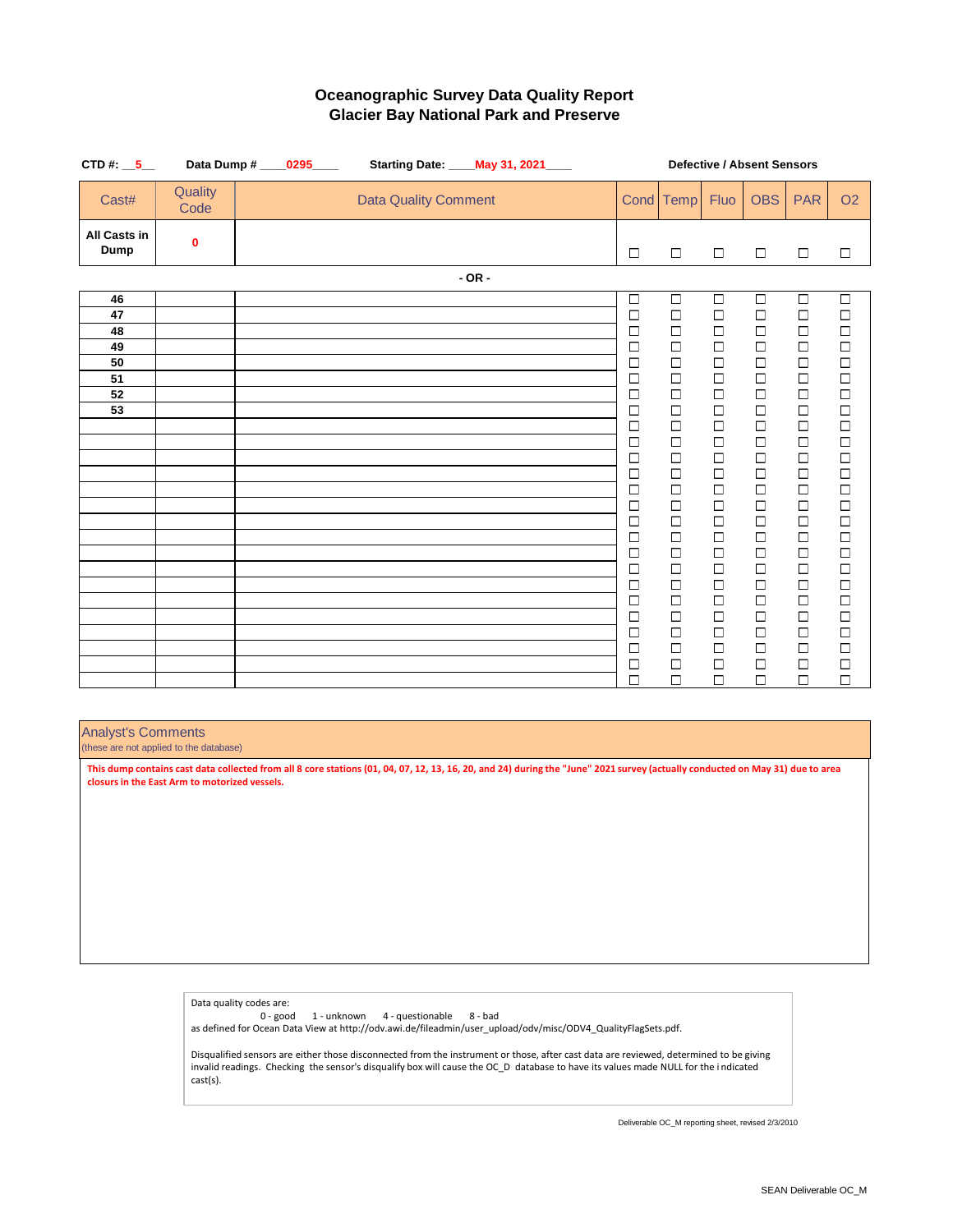| CTD#: $-5$                  |                 | Data Dump # _____0295_____ |                             | Starting Date: ____ May 31, 2021____ |         |  |  | <b>Defective / Absent Sensors</b> |                                                   |                                                   |                                                   |                                               |                                                   |  |
|-----------------------------|-----------------|----------------------------|-----------------------------|--------------------------------------|---------|--|--|-----------------------------------|---------------------------------------------------|---------------------------------------------------|---------------------------------------------------|-----------------------------------------------|---------------------------------------------------|--|
| Cast#                       | Quality<br>Code |                            | <b>Data Quality Comment</b> |                                      |         |  |  |                                   | Cond Temp                                         | Fluo                                              | <b>OBS</b>                                        | <b>PAR</b>                                    | O2                                                |  |
| <b>All Casts in</b><br>Dump | $\mathbf 0$     |                            |                             |                                      |         |  |  | $\Box$                            | $\Box$                                            | $\Box$                                            | $\Box$                                            | $\Box$                                        | $\Box$                                            |  |
|                             |                 |                            |                             |                                      | $-OR -$ |  |  |                                   |                                                   |                                                   |                                                   |                                               |                                                   |  |
| 46                          |                 |                            |                             |                                      |         |  |  | $\Box$                            | $\Box$                                            | $\Box$                                            | $\Box$                                            | $\Box$                                        | $\Box$                                            |  |
| 47                          |                 |                            |                             |                                      |         |  |  | $\Box$                            | $\begin{array}{c} \square \\ \square \end{array}$ | $\Box$                                            | $\begin{array}{c} \square \\ \square \end{array}$ | $\begin{array}{c}\n\Box \\ \Box\n\end{array}$ | $\begin{array}{c} \square \\ \square \end{array}$ |  |
| 48                          |                 |                            |                             |                                      |         |  |  | $\Box$                            |                                                   |                                                   |                                                   |                                               |                                                   |  |
| 49                          |                 |                            |                             |                                      |         |  |  | $\Box$                            | $\Box$                                            | $\Box$                                            | $\Box$                                            | $\Box$                                        | $\Box$                                            |  |
| 50                          |                 |                            |                             |                                      |         |  |  | $\Box$                            | $\begin{array}{c}\n\Box \\ \Box\n\end{array}$     | $\begin{array}{c} \square \\ \square \end{array}$ | 0<br>0<br>0                                       | $\begin{array}{c}\n\Box \\ \Box\n\end{array}$ | 0<br>0<br>0                                       |  |
| 51<br>52                    |                 |                            |                             |                                      |         |  |  | □<br>$\Box$                       | $\Box$                                            |                                                   |                                                   |                                               |                                                   |  |
| 53                          |                 |                            |                             |                                      |         |  |  | $\Box$                            | $\Box$                                            | $\Box$                                            | $\Box$                                            | $\Box$                                        | $\Box$                                            |  |
|                             |                 |                            |                             |                                      |         |  |  | $\Box$                            | $\Box$                                            | $\Box$                                            | $\Box$                                            | $\Box$                                        | $\Box$                                            |  |
|                             |                 |                            |                             |                                      |         |  |  | $\Box$                            | $\Box$                                            | $\Box$                                            | $\Box$                                            | $\Box$                                        |                                                   |  |
|                             |                 |                            |                             |                                      |         |  |  | $\Box$                            | $\Box$                                            | $\Box$                                            | $\Box$                                            | $\Box$                                        | $\begin{array}{c}\n\Box \\ \Box\n\end{array}$     |  |
|                             |                 |                            |                             |                                      |         |  |  | $\Box$                            | $\Box$                                            | $\Box$                                            | $\Box$                                            | $\Box$                                        | $\Box$                                            |  |
|                             |                 |                            |                             |                                      |         |  |  | $\Box$                            | $\Box$                                            | $\Box$                                            | $\Box$                                            | $\Box$                                        | $\Box$                                            |  |
|                             |                 |                            |                             |                                      |         |  |  | $\Box$                            | $\Box$                                            | $\Box$                                            | $\Box$                                            | $\Box$                                        | $\Box$                                            |  |
|                             |                 |                            |                             |                                      |         |  |  | $\Box$                            | $\Box$                                            | $\Box$                                            | $\Box$                                            | $\Box$                                        | $\Box$                                            |  |
|                             |                 |                            |                             |                                      |         |  |  | $\Box$                            | $\Box$                                            | $\Box$                                            | $\Box$                                            | $\Box$                                        | $\Box$                                            |  |
|                             |                 |                            |                             |                                      |         |  |  | $\Box$                            | $\Box$                                            | $\Box$                                            | $\begin{array}{c}\n\Box \\ \Box\n\end{array}$     | $\Box$                                        | $\Box$                                            |  |
|                             |                 |                            |                             |                                      |         |  |  | $\Box$                            | $\Box$<br>$\Box$                                  |                                                   |                                                   | $\Box$<br>$\Box$                              | $\Box$<br>$\Box$                                  |  |
|                             |                 |                            |                             |                                      |         |  |  | $\Box$<br>$\Box$                  | $\Box$                                            | $\Box$<br>$\Box$                                  | $\Box$<br>$\Box$                                  | $\Box$                                        | $\Box$                                            |  |
|                             |                 |                            |                             |                                      |         |  |  | $\Box$                            | $\Box$                                            | $\Box$                                            | $\Box$                                            | $\Box$                                        | $\Box$                                            |  |
|                             |                 |                            |                             |                                      |         |  |  | $\Box$                            | $\Box$                                            | $\Box$                                            | $\Box$                                            | $\Box$                                        |                                                   |  |
|                             |                 |                            |                             |                                      |         |  |  | $\Box$                            | $\Box$                                            | $\Box$                                            | $\Box$                                            | $\Box$                                        | $\begin{array}{c}\n\Box \\ \Box\n\end{array}$     |  |
|                             |                 |                            |                             |                                      |         |  |  | $\Box$                            | $\Box$                                            | $\Box$                                            | $\Box$                                            | $\Box$                                        | $\Box$                                            |  |
|                             |                 |                            |                             |                                      |         |  |  | $\Box$                            | $\Box$                                            | $\Box$                                            | $\Box$                                            | $\Box$                                        | $\Box$                                            |  |

## Analyst's Comments

(these are not applied to the database)

**This dump contains cast data collected from all 8 core stations (01, 04, 07, 12, 13, 16, 20, and 24) during the "June" 2021 survey (actually conducted on May 31) due to area closurs in the East Arm to motorized vessels.**

> Data quality codes are: 0 - good 1 - unknown 4 - questionable 8 - bad as defined for Ocean Data View at http://odv.awi.de/fileadmin/user\_upload/odv/misc/ODV4\_QualityFlagSets.pdf.

Disqualified sensors are either those disconnected from the instrument or those, after cast data are reviewed, determined to be giving invalid readings. Checking the sensor's disqualify box will cause the OC\_D database to have its values made NULL for the i ndicated cast(s).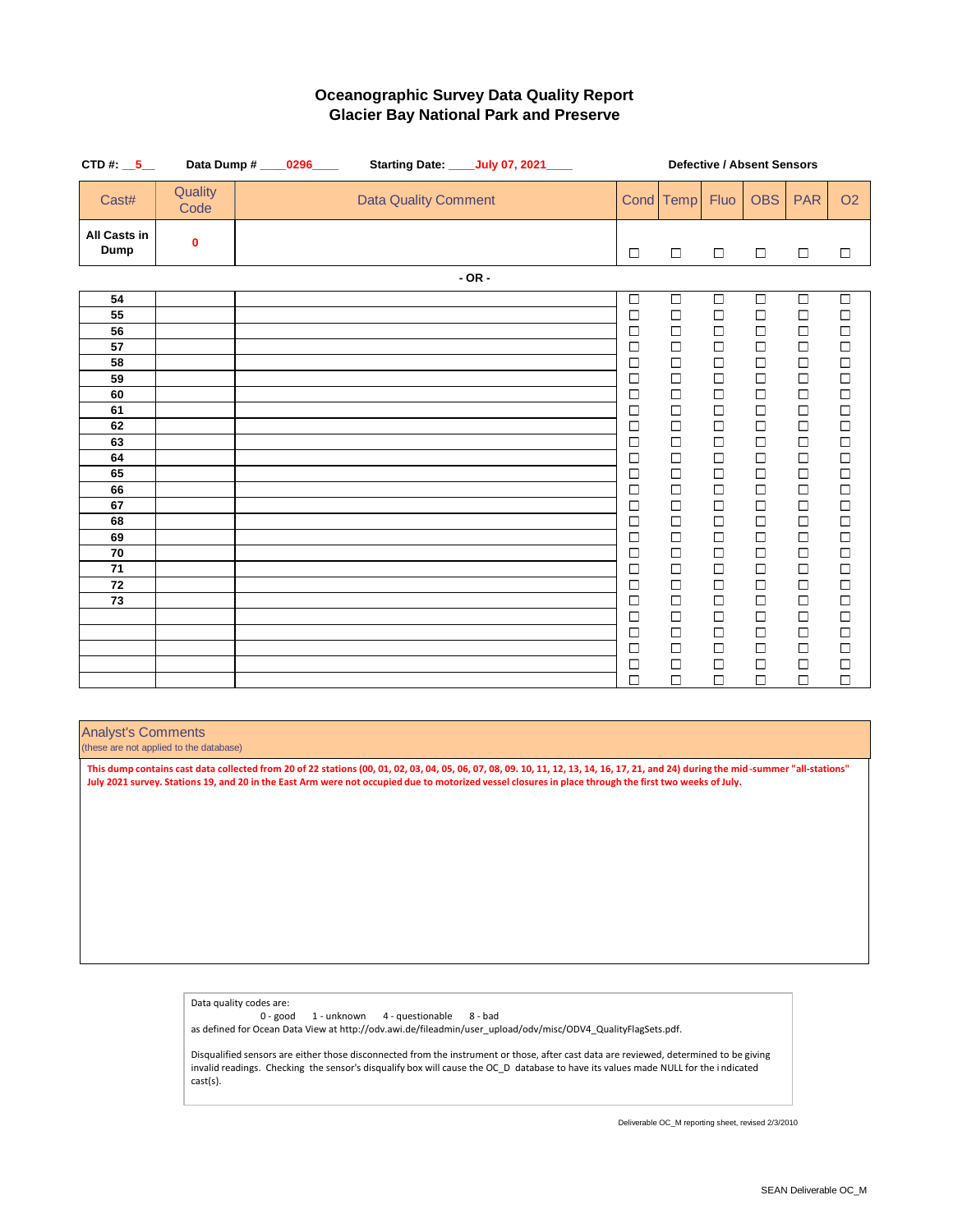| CTD#: $-5$                  |                 | Data Dump # _____0296____ |                             | Starting Date: ____July 07, 2021____ | <b>Defective / Absent Sensors</b> |                                                              |                                                   |                                                       |                                               |                                                       |
|-----------------------------|-----------------|---------------------------|-----------------------------|--------------------------------------|-----------------------------------|--------------------------------------------------------------|---------------------------------------------------|-------------------------------------------------------|-----------------------------------------------|-------------------------------------------------------|
| Cast#                       | Quality<br>Code |                           | <b>Data Quality Comment</b> |                                      |                                   | Cond Temp                                                    | Fluo                                              | <b>OBS</b>                                            | <b>PAR</b>                                    | O <sub>2</sub>                                        |
| <b>All Casts in</b><br>Dump | $\mathbf 0$     |                           |                             |                                      | $\Box$                            | $\Box$                                                       | $\Box$                                            | $\Box$                                                | $\Box$                                        | $\Box$                                                |
|                             |                 |                           |                             | $-OR -$                              |                                   |                                                              |                                                   |                                                       |                                               |                                                       |
| 54                          |                 |                           |                             |                                      | $\overline{\square}$              | $\Box$                                                       | $\Box$                                            | $\Box$                                                | $\Box$                                        | $\overline{\Box}$                                     |
| 55                          |                 |                           |                             |                                      | $\Box$                            | $\begin{array}{c}\n\Box \\ \Box\n\end{array}$                | $\begin{array}{c}\n\Box \\ \Box\n\end{array}$     | $\begin{array}{c}\n\Box \\ \Box\n\end{array}$         | $\begin{array}{c}\n\Box \\ \Box\n\end{array}$ | $\begin{array}{c}\n\Box \\ \Box\n\end{array}$         |
| 56                          |                 |                           |                             |                                      | $\Box$                            |                                                              |                                                   |                                                       |                                               |                                                       |
| 57                          |                 |                           |                             |                                      | $\Box$                            | $\Box$                                                       | $\Box$                                            | $\Box$                                                | $\Box$                                        | $\Box$                                                |
| 58                          |                 |                           |                             |                                      | $\Box$                            | $\Box$                                                       | $\Box$                                            | $\Box$                                                | $\Box$                                        | $\Box$                                                |
| 59                          |                 |                           |                             |                                      | $\Box$                            | $\Box$                                                       | $\Box$                                            | $\Box$                                                | $\Box$                                        |                                                       |
| 60                          |                 |                           |                             |                                      | $\Box$                            | $\Box$                                                       | $\begin{array}{c}\n\Box \\ \Box\n\end{array}$     | $\Box$                                                | $\Box$                                        | $\begin{array}{c}\n\Box \\ \Box \\ \Box\n\end{array}$ |
| 61                          |                 |                           |                             |                                      | $\Box$                            | $\Box$                                                       |                                                   | $\Box$                                                | $\Box$                                        |                                                       |
| 62                          |                 |                           |                             |                                      | $\Box$                            | $\Box$                                                       | $\Box$                                            | $\Box$                                                | $\Box$                                        | $\Box$                                                |
| 63                          |                 |                           |                             |                                      | $\Box$                            | $\Box$                                                       | $\Box$                                            | $\Box$                                                | $\begin{array}{c}\n\Box \\ \Box\n\end{array}$ | $\begin{array}{c}\n\Box \\ \Box\n\end{array}$         |
| 64<br>65                    |                 |                           |                             |                                      | $\Box$                            | $\Box$<br>$\Box$                                             | $\Box$                                            | $\Box$                                                |                                               |                                                       |
| 66                          |                 |                           |                             |                                      | $\Box$<br>$\Box$                  | $\Box$                                                       | $\begin{array}{c}\n\Box \\ \Box\n\end{array}$     | $\begin{array}{c}\n\Box \\ \Box\n\end{array}$         | $\Box$<br>$\Box$                              | $\begin{array}{c}\n\Box \\ \Box\n\end{array}$         |
| 67                          |                 |                           |                             |                                      | $\Box$                            | $\Box$                                                       |                                                   | $\Box$                                                | $\Box$                                        |                                                       |
| 68                          |                 |                           |                             |                                      | $\Box$                            |                                                              |                                                   |                                                       |                                               |                                                       |
| 69                          |                 |                           |                             |                                      | $\Box$                            | $\begin{array}{c} \square \\ \square \\ \square \end{array}$ | $\begin{array}{c} \square \\ \square \end{array}$ | $\begin{array}{c}\n\Box \\ \Box \\ \Box\n\end{array}$ | $\begin{array}{c}\n0 \\ 0\n\end{array}$       |                                                       |
| 70                          |                 |                           |                             |                                      | $\Box$                            |                                                              |                                                   |                                                       |                                               |                                                       |
| 71                          |                 |                           |                             |                                      | $\Box$                            | $\Box$                                                       | $\Box$                                            | $\Box$                                                | $\Box$                                        |                                                       |
| 72                          |                 |                           |                             |                                      | $\Box$                            | $\Box$                                                       |                                                   | $\Box$                                                | $\Box$                                        |                                                       |
| 73                          |                 |                           |                             |                                      | $\Box$                            | $\Box$                                                       | $\Box$                                            | $\Box$                                                | $\Box$                                        |                                                       |
|                             |                 |                           |                             |                                      | $\Box$                            | $\Box$                                                       |                                                   | $\Box$                                                | $\Box$                                        | 00000000                                              |
|                             |                 |                           |                             |                                      | $\Box$                            | $\Box$                                                       | $\Box$                                            | $\Box$                                                | $\Box$                                        | $\Box$                                                |
|                             |                 |                           |                             |                                      | $\Box$                            | $\Box$                                                       | $\Box$                                            | $\Box$                                                | $\Box$                                        | $\Box$                                                |
|                             |                 |                           |                             |                                      | $\Box$                            | $\Box$                                                       | $\Box$                                            | $\Box$                                                | $\Box$                                        | $\Box$                                                |
|                             |                 |                           |                             |                                      | $\Box$                            | $\Box$                                                       | $\Box$                                            | $\Box$                                                | $\Box$                                        | $\Box$                                                |

#### Analyst's Comments

(these are not applied to the database)

**This dump contains cast data collected from 20 of 22 stations (00, 01, 02, 03, 04, 05, 06, 07, 08, 09. 10, 11, 12, 13, 14, 16, 17, 21, and 24) during the mid-summer "all-stations" July 2021 survey. Stations 19, and 20 in the East Arm were not occupied due to motorized vessel closures in place through the first two weeks of July.**

> Data quality codes are: 0 - good 1 - unknown 4 - questionable 8 - bad as defined for Ocean Data View at http://odv.awi.de/fileadmin/user\_upload/odv/misc/ODV4\_QualityFlagSets.pdf.

Disqualified sensors are either those disconnected from the instrument or those, after cast data are reviewed, determined to be giving invalid readings. Checking the sensor's disqualify box will cause the OC\_D database to have its values made NULL for the i ndicated cast(s).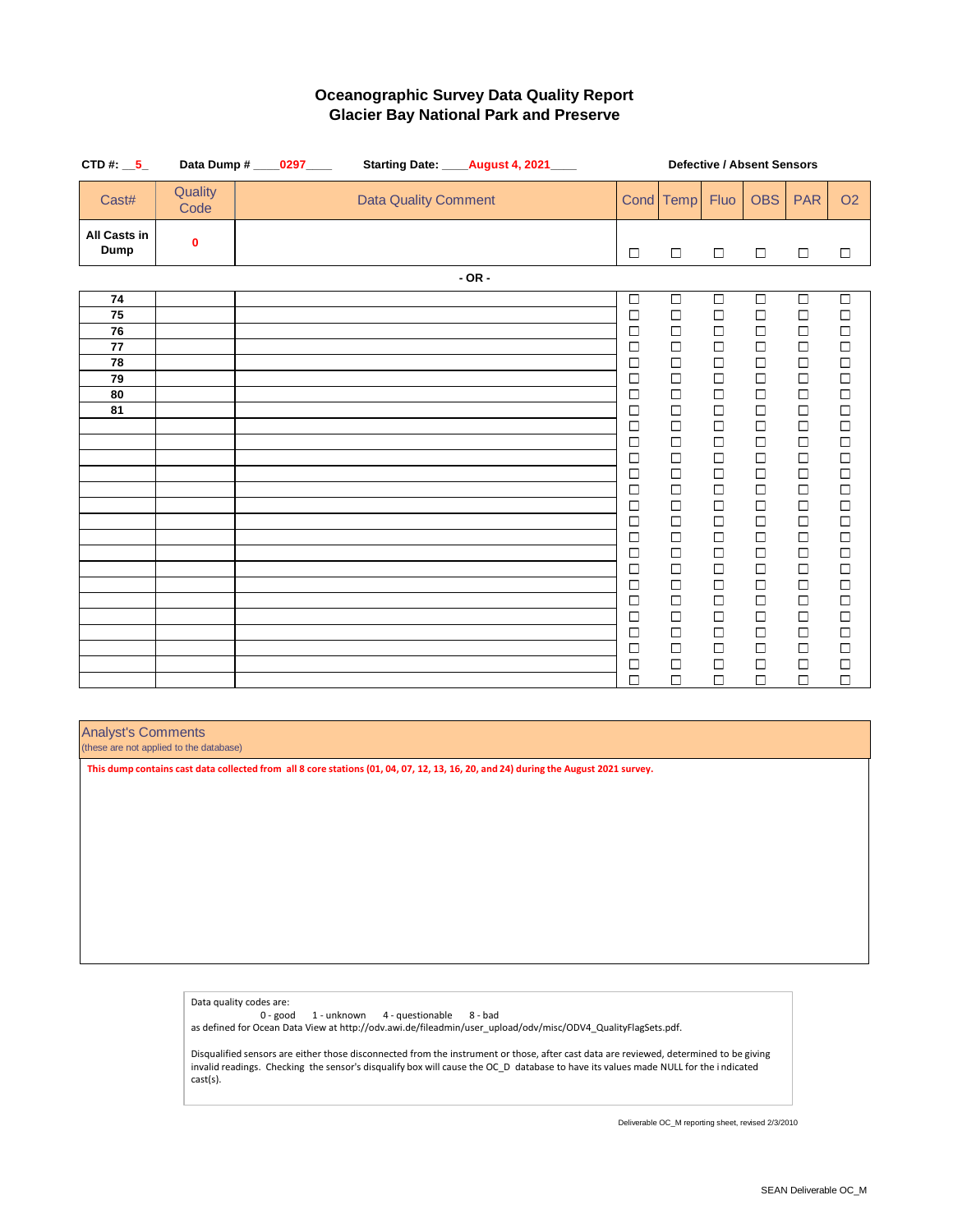| CTD#: $\_5$                 |                 | Data Dump # ____0297____ |                             | Starting Date: ____August 4, 2021____ | <b>Defective / Absent Sensors</b> |                                               |                      |                      |                  |                                               |  |  |
|-----------------------------|-----------------|--------------------------|-----------------------------|---------------------------------------|-----------------------------------|-----------------------------------------------|----------------------|----------------------|------------------|-----------------------------------------------|--|--|
| Cast#                       | Quality<br>Code |                          | <b>Data Quality Comment</b> |                                       |                                   | Cond Temp                                     | Fluo                 | <b>OBS</b>           | <b>PAR</b>       | O <sub>2</sub>                                |  |  |
| <b>All Casts in</b><br>Dump | 0               |                          |                             |                                       | $\Box$                            | $\Box$                                        | $\Box$               | $\Box$               | $\Box$           | □                                             |  |  |
|                             |                 |                          |                             | $-OR -$                               |                                   |                                               |                      |                      |                  |                                               |  |  |
| 74                          |                 |                          |                             |                                       | $\Box$                            | $\Box$                                        | $\overline{\square}$ | $\overline{\square}$ | $\Box$           | $\Box$                                        |  |  |
| 75                          |                 |                          |                             |                                       | $\Box$                            | $\Box$                                        | $\Box$               | $\Box$               | $\Box$           | $\Box$                                        |  |  |
| 76                          |                 |                          |                             |                                       | □                                 | $\Box$                                        | $\Box$               | $\Box$               | $\Box$           | $\Box$                                        |  |  |
| 77                          |                 |                          |                             |                                       | $\Box$                            | $\Box$                                        | $\Box$               | $\Box$               | $\Box$           | $\begin{array}{c}\n\Box \\ \Box\n\end{array}$ |  |  |
| 78                          |                 |                          |                             |                                       | $\Box$                            | $\Box$                                        | $\Box$               | $\Box$               | $\Box$           |                                               |  |  |
| 79                          |                 |                          |                             |                                       | $\Box$                            | $\Box$                                        | $\Box$               | $\Box$               | $\Box$           | $\Box$                                        |  |  |
| 80                          |                 |                          |                             |                                       | $\Box$                            | $\Box$                                        | $\Box$               | $\Box$               | $\Box$           | $\Box$                                        |  |  |
| 81                          |                 |                          |                             |                                       | $\Box$                            | $\Box$                                        | $\Box$               | $\Box$               | $\Box$           | $\Box$                                        |  |  |
|                             |                 |                          |                             |                                       | $\Box$                            | $\Box$                                        | $\Box$               | $\Box$               | $\Box$           | $\Box$                                        |  |  |
|                             |                 |                          |                             |                                       | $\Box$<br>$\Box$                  | $\Box$<br>$\Box$                              | $\Box$<br>$\Box$     | $\Box$<br>$\Box$     | $\Box$<br>$\Box$ | $\Box$<br>$\Box$                              |  |  |
|                             |                 |                          |                             |                                       | □                                 | $\Box$                                        | $\Box$               | $\Box$               | $\Box$           | $\Box$                                        |  |  |
|                             |                 |                          |                             |                                       | $\Box$                            | $\Box$                                        | $\Box$               | $\Box$               | $\Box$           | $\Box$                                        |  |  |
|                             |                 |                          |                             |                                       | $\Box$                            | $\Box$                                        | $\Box$               | $\Box$               | $\Box$           | $\Box$                                        |  |  |
|                             |                 |                          |                             |                                       | $\Box$                            |                                               | $\Box$               | $\Box$               | $\Box$           | $\Box$                                        |  |  |
|                             |                 |                          |                             |                                       | $\Box$                            | $\begin{array}{c}\n\Box \\ \Box\n\end{array}$ | $\Box$               | $\Box$               | $\Box$           | $\Box$                                        |  |  |
|                             |                 |                          |                             |                                       | $\Box$                            | $\Box$                                        | $\Box$               | $\Box$               |                  |                                               |  |  |
|                             |                 |                          |                             |                                       | $\Box$                            | $\Box$                                        | $\Box$               | $\Box$               | $\Box$           | $\begin{array}{c}\n\Box \\ \Box\n\end{array}$ |  |  |
|                             |                 |                          |                             |                                       | $\Box$                            | $\Box$                                        | $\Box$               | $\Box$               | $\Box$           | $\begin{array}{c}\n\Box \\ \Box\n\end{array}$ |  |  |
|                             |                 |                          |                             |                                       | $\Box$                            | $\Box$                                        | $\Box$               | $\Box$               | $\Box$           |                                               |  |  |
|                             |                 |                          |                             |                                       | $\Box$                            | $\Box$                                        | $\Box$               | $\Box$               | $\Box$           | $\Box$                                        |  |  |
|                             |                 |                          |                             |                                       | $\Box$                            | $\Box$                                        | $\Box$               | $\Box$               | $\Box$           | $\Box$                                        |  |  |
|                             |                 |                          |                             |                                       | $\Box$                            | $\Box$                                        | $\Box$               | $\Box$               | $\Box$           | $\Box$                                        |  |  |
|                             |                 |                          |                             |                                       | $\Box$                            | $\Box$                                        | $\Box$               | $\Box$               | $\Box$           | $\Box$                                        |  |  |
|                             |                 |                          |                             |                                       | $\Box$                            | $\Box$                                        | $\Box$               | $\Box$               | $\Box$           | $\Box$                                        |  |  |

#### Analyst's Comments

(these are not applied to the database)

**This dump contains cast data collected from all 8 core stations (01, 04, 07, 12, 13, 16, 20, and 24) during the August 2021 survey.** 

Data quality codes are: 0 - good 1 - unknown 4 - questionable 8 - bad as defined for Ocean Data View at http://odv.awi.de/fileadmin/user\_upload/odv/misc/ODV4\_QualityFlagSets.pdf. Disqualified sensors are either those disconnected from the instrument or those, after cast data are reviewed, determined to be giving

invalid readings. Checking the sensor's disqualify box will cause the OC\_D database to have its values made NULL for the i ndicated cast(s).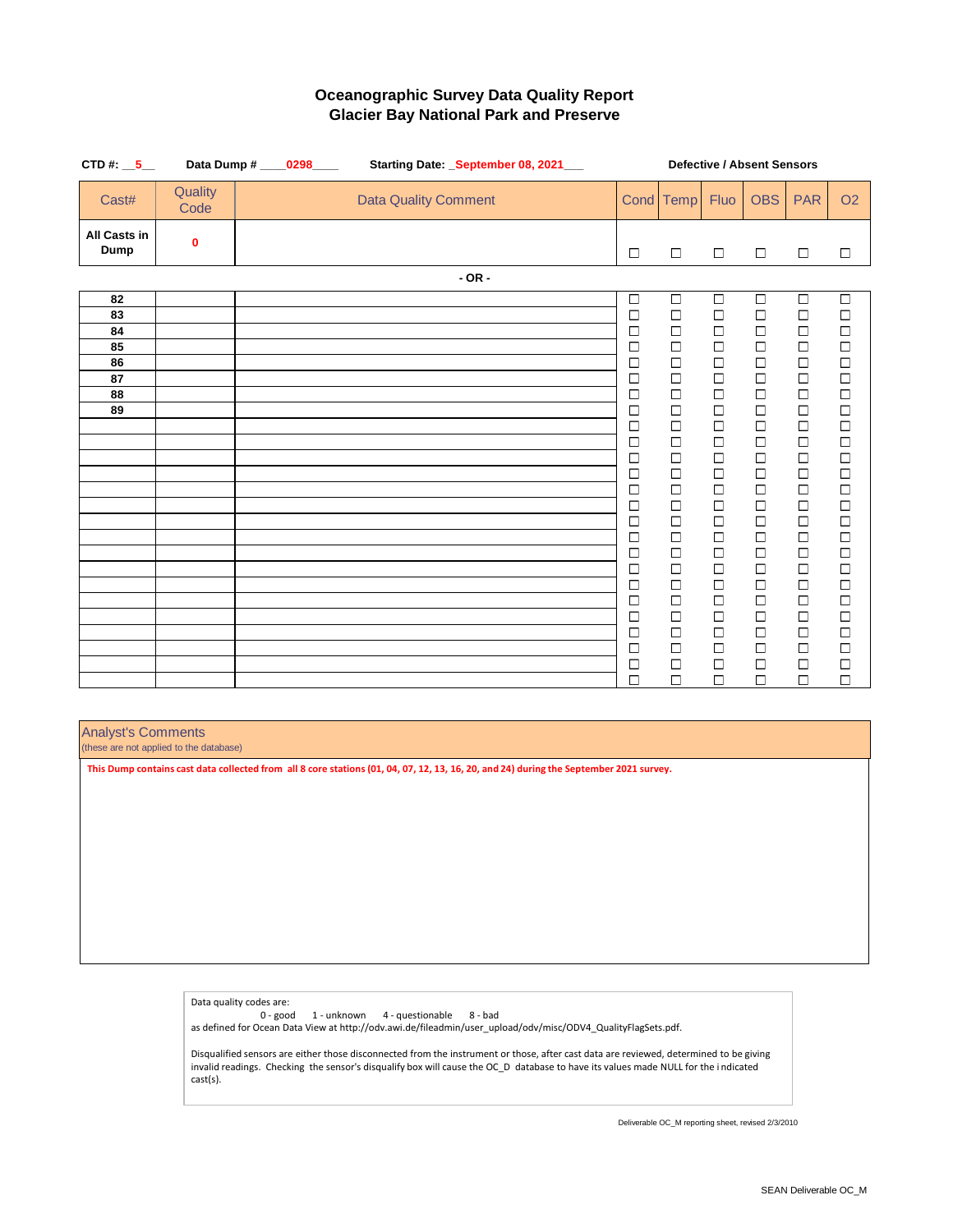| CTD#: $-5$                  |                 | Data Dump # ____0298____<br>Starting Date: _September 08, 2021___ |                             |         |  |                  | <b>Defective / Absent Sensors</b>             |                      |                      |                  |                                               |  |  |  |
|-----------------------------|-----------------|-------------------------------------------------------------------|-----------------------------|---------|--|------------------|-----------------------------------------------|----------------------|----------------------|------------------|-----------------------------------------------|--|--|--|
| Cast#                       | Quality<br>Code |                                                                   | <b>Data Quality Comment</b> |         |  |                  | Cond Temp                                     | Fluo                 | <b>OBS</b>           | <b>PAR</b>       | O <sub>2</sub>                                |  |  |  |
| <b>All Casts in</b><br>Dump | 0               |                                                                   |                             |         |  | $\Box$           | $\Box$                                        | $\Box$               | $\Box$               | $\Box$           | □                                             |  |  |  |
|                             |                 |                                                                   |                             | $-OR -$ |  |                  |                                               |                      |                      |                  |                                               |  |  |  |
| 82                          |                 |                                                                   |                             |         |  | $\Box$           | $\Box$                                        | $\overline{\square}$ | $\overline{\square}$ | $\Box$           | $\Box$                                        |  |  |  |
| 83                          |                 |                                                                   |                             |         |  | $\Box$           | $\Box$                                        | $\Box$               | $\Box$               | $\Box$           | $\Box$                                        |  |  |  |
| 84                          |                 |                                                                   |                             |         |  | $\Box$           | $\Box$                                        | $\Box$               | $\Box$               | $\Box$           | $\Box$                                        |  |  |  |
| 85                          |                 |                                                                   |                             |         |  | $\Box$           | $\Box$                                        | $\Box$               | $\Box$               | $\Box$           | $\Box$                                        |  |  |  |
| 86                          |                 |                                                                   |                             |         |  | $\Box$           | $\Box$                                        | $\Box$               | $\Box$               | $\Box$           | $\Box$                                        |  |  |  |
| 87                          |                 |                                                                   |                             |         |  | $\Box$           | $\Box$                                        | $\Box$               | $\Box$               | $\Box$           | $\Box$                                        |  |  |  |
| 88                          |                 |                                                                   |                             |         |  | $\Box$           | $\Box$                                        | $\Box$               | $\Box$               | $\Box$           | $\Box$                                        |  |  |  |
| 89                          |                 |                                                                   |                             |         |  | $\Box$           | $\Box$                                        | $\Box$               | $\Box$               | $\Box$           | $\Box$                                        |  |  |  |
|                             |                 |                                                                   |                             |         |  | $\Box$           | $\Box$<br>$\Box$                              | $\Box$<br>$\Box$     | $\Box$<br>$\Box$     | $\Box$<br>$\Box$ | $\Box$<br>$\Box$                              |  |  |  |
|                             |                 |                                                                   |                             |         |  | $\Box$<br>$\Box$ | $\Box$                                        | $\Box$               | $\Box$               | $\Box$           | $\Box$                                        |  |  |  |
|                             |                 |                                                                   |                             |         |  | $\Box$           | $\Box$                                        | $\Box$               | $\Box$               | $\Box$           | $\Box$                                        |  |  |  |
|                             |                 |                                                                   |                             |         |  | $\Box$           | $\Box$                                        | $\Box$               | $\Box$               | $\Box$           | $\Box$                                        |  |  |  |
|                             |                 |                                                                   |                             |         |  | $\Box$           | $\Box$                                        | $\Box$               | $\Box$               | $\Box$           | $\Box$                                        |  |  |  |
|                             |                 |                                                                   |                             |         |  | $\Box$           |                                               | $\Box$               | $\Box$               | $\Box$           | $\Box$                                        |  |  |  |
|                             |                 |                                                                   |                             |         |  | $\Box$           | $\begin{array}{c}\n\Box \\ \Box\n\end{array}$ | $\Box$               | $\Box$               | $\Box$           | $\Box$                                        |  |  |  |
|                             |                 |                                                                   |                             |         |  | $\Box$           | $\Box$                                        | $\Box$               | $\Box$               | $\Box$           | $\begin{array}{c}\n\Box \\ \Box\n\end{array}$ |  |  |  |
|                             |                 |                                                                   |                             |         |  | $\Box$           | $\Box$                                        | $\Box$               | $\Box$               |                  |                                               |  |  |  |
|                             |                 |                                                                   |                             |         |  | $\Box$           | $\Box$                                        | $\Box$               | $\Box$               | $\Box$           | $\Box$                                        |  |  |  |
|                             |                 |                                                                   |                             |         |  | $\Box$           | $\Box$                                        | $\Box$               | $\Box$               | $\Box$           | $\Box$                                        |  |  |  |
|                             |                 |                                                                   |                             |         |  | $\Box$           | $\Box$                                        | $\Box$               | $\Box$               | $\Box$           | $\Box$                                        |  |  |  |
|                             |                 |                                                                   |                             |         |  | $\Box$           | $\Box$                                        | $\Box$               | $\Box$               | $\Box$           | $\Box$                                        |  |  |  |
|                             |                 |                                                                   |                             |         |  | $\Box$           | $\Box$                                        | $\Box$               | $\Box$               | $\Box$           | $\Box$                                        |  |  |  |
|                             |                 |                                                                   |                             |         |  | $\Box$           | $\Box$                                        | $\Box$               | $\Box$               | $\Box$           | $\Box$                                        |  |  |  |
|                             |                 |                                                                   |                             |         |  | $\Box$           | $\Box$                                        | $\Box$               | $\Box$               | $\Box$           | $\Box$                                        |  |  |  |

#### Analyst's Comments

(these are not applied to the database)

**This Dump contains cast data collected from all 8 core stations (01, 04, 07, 12, 13, 16, 20, and 24) during the September 2021 survey.**

Data quality codes are: 0 - good 1 - unknown 4 - questionable 8 - bad as defined for Ocean Data View at http://odv.awi.de/fileadmin/user\_upload/odv/misc/ODV4\_QualityFlagSets.pdf. Disqualified sensors are either those disconnected from the instrument or those, after cast data are reviewed, determined to be giving

invalid readings. Checking the sensor's disqualify box will cause the OC\_D database to have its values made NULL for the i ndicated cast(s).